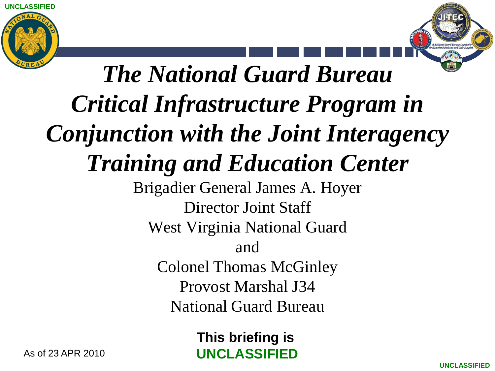



## *The National Guard Bureau Critical Infrastructure Program in Conjunction with the Joint Interagency Training and Education Center* Brigadier General James A. Hoyer Director Joint Staff West Virginia National Guard and Colonel Thomas McGinley Provost Marshal J34 National Guard Bureau

**This briefing is UNCLASSIFIED**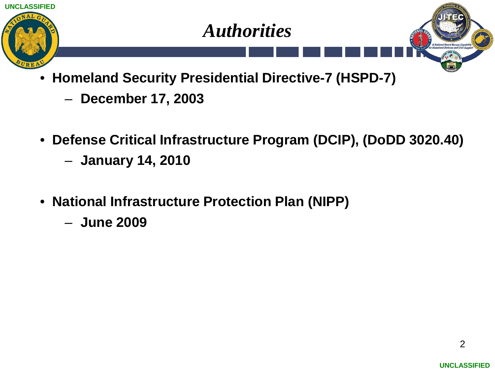



- **Homeland Security Presidential Directive-7 (HSPD-7)**
	- **December 17, 2003**
- **Defense Critical Infrastructure Program (DCIP), (DoDD 3020.40)** 
	- **January 14, 2010**
- **National Infrastructure Protection Plan (NIPP)**
	- **June 2009**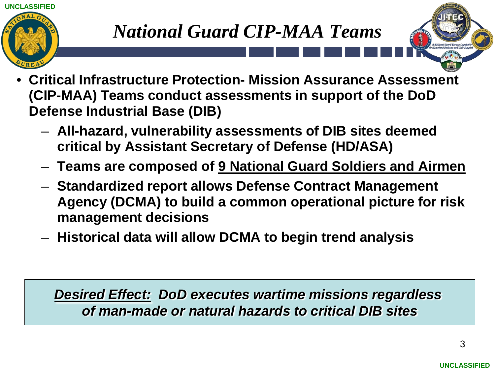



- **All-hazard, vulnerability assessments of DIB sites deemed critical by Assistant Secretary of Defense (HD/ASA)**
- **Teams are composed of 9 National Guard Soldiers and Airmen**
- **Standardized report allows Defense Contract Management Agency (DCMA) to build a common operational picture for risk management decisions**
- **Historical data will allow DCMA to begin trend analysis**

*Desired Effect: DoD executes wartime missions regardless of man-made or natural hazards to critical DIB sites*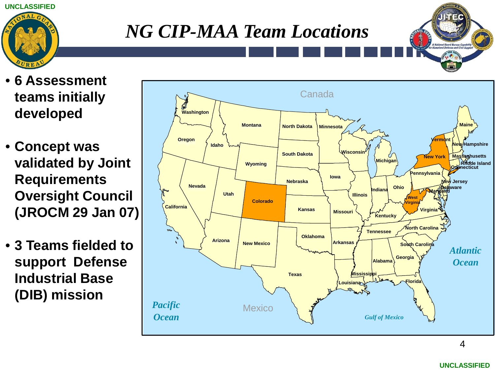**UNCLASSIFIED** 



#### *NG CIP-MAA Team Locations*

- **6 Assessment teams initially developed**
- **Concept was validated by Joint Requirements Oversight Council (JROCM 29 Jan 07)**
- **3 Teams fielded to support Defense Industrial Base (DIB) mission**

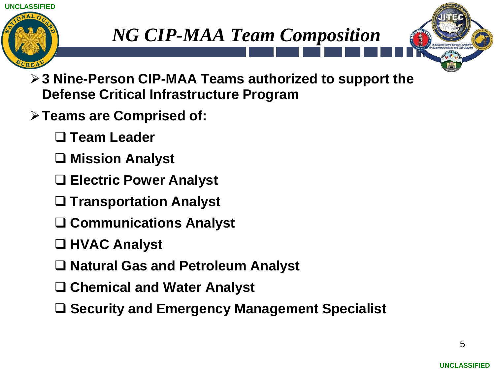



- **3 Nine-Person CIP-MAA Teams authorized to support the Defense Critical Infrastructure Program**
- **Teams are Comprised of:** 
	- **Team Leader**
	- **Mission Analyst**
	- **Electric Power Analyst**
	- **Transportation Analyst**
	- **Communications Analyst**
	- **HVAC Analyst**
	- **Natural Gas and Petroleum Analyst**
	- **Chemical and Water Analyst**
	- **Security and Emergency Management Specialist**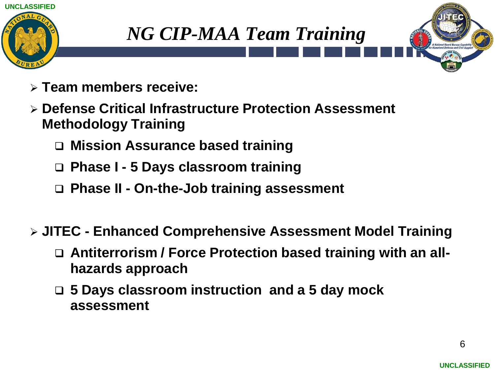





- **Defense Critical Infrastructure Protection Assessment Methodology Training**
	- **Mission Assurance based training**
	- **Phase I - 5 Days classroom training**
	- **Phase II - On-the-Job training assessment**
- **JITEC - Enhanced Comprehensive Assessment Model Training** 
	- □ Antiterrorism / Force Protection based training with an all**hazards approach**
	- **5 Days classroom instruction and a 5 day mock assessment**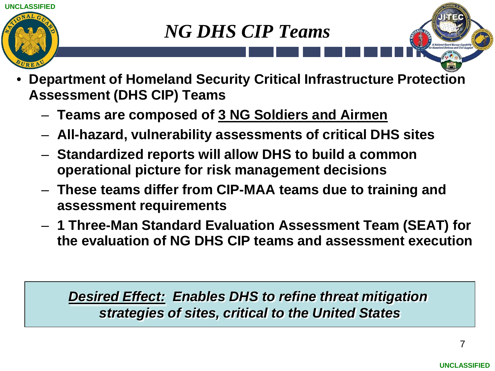

### *NG DHS CIP Teams*



- **Teams are composed of 3 NG Soldiers and Airmen**
- **All-hazard, vulnerability assessments of critical DHS sites**
- **Standardized reports will allow DHS to build a common operational picture for risk management decisions**
- **These teams differ from CIP-MAA teams due to training and assessment requirements**
- **1 Three-Man Standard Evaluation Assessment Team (SEAT) for the evaluation of NG DHS CIP teams and assessment execution**

*Desired Effect: Enables DHS to refine threat mitigation strategies of sites, critical to the United States*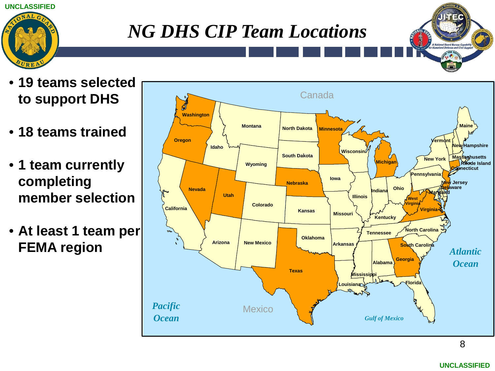**UNCLASSIFIED** 



#### *NG DHS CIP Team Locations*

- **19 teams selected to support DHS**
- **18 teams trained**
- **1 team currently completing member selection**
- **At least 1 team per FEMA region**